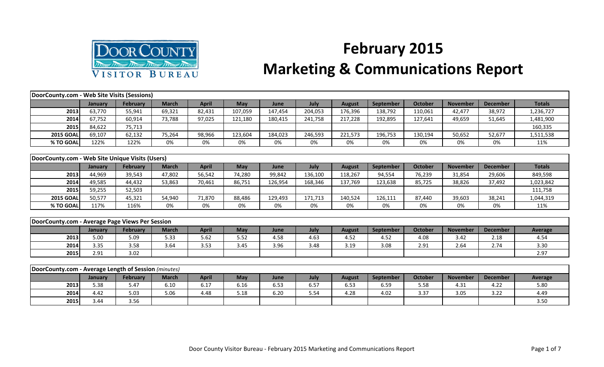

## **February 2015 Marketing & Communications Report**

| DoorCounty.com - Web Site Visits (Sessions)          |                |                 |              |              |            |         |         |               |                  |                |                 |                 |               |
|------------------------------------------------------|----------------|-----------------|--------------|--------------|------------|---------|---------|---------------|------------------|----------------|-----------------|-----------------|---------------|
|                                                      | January        | <b>February</b> | <b>March</b> | <b>April</b> | <b>May</b> | June    | July    | <b>August</b> | September        | October        | <b>November</b> | <b>December</b> | <b>Totals</b> |
| 2013                                                 | 63,770         | 55,941          | 69,321       | 82,431       | 107,059    | 147,454 | 204,053 | 176,396       | 138,792          | 110,061        | 42,477          | 38,972          | 1,236,727     |
| 2014                                                 | 67,752         | 60,914          | 73,788       | 97,025       | 121,180    | 180,415 | 241,758 | 217,228       | 192,895          | 127,641        | 49,659          | 51,645          | 1,481,900     |
| 2015                                                 | 84,622         | 75,713          |              |              |            |         |         |               |                  |                |                 |                 | 160,335       |
| <b>2015 GOAL</b>                                     | 69,107         | 62,132          | 75,264       | 98,966       | 123,604    | 184,023 | 246,593 | 221,573       | 196,753          | 130,194        | 50,652          | 52,677          | 1,511,538     |
| % TO GOAL                                            | 122%           | 122%            | 0%           | 0%           | 0%         | 0%      | 0%      | 0%            | 0%               | 0%             | 0%              | 0%              | 11%           |
|                                                      |                |                 |              |              |            |         |         |               |                  |                |                 |                 |               |
| DoorCounty.com - Web Site Unique Visits (Users)      |                |                 |              |              |            |         |         |               |                  |                |                 |                 |               |
|                                                      | <b>January</b> | <b>February</b> | <b>March</b> | <b>April</b> | May        | June    | July    | <b>August</b> | September        | <b>October</b> | <b>November</b> | <b>December</b> | <b>Totals</b> |
| 2013                                                 | 44,969         | 39,543          | 47,802       | 56,542       | 74,280     | 99,842  | 136,100 | 118,267       | 94,554           | 76,239         | 31,854          | 29,606          | 849,598       |
| 2014                                                 | 49,585         | 44,432          | 53,863       | 70,461       | 86,751     | 126,954 | 168,346 | 137,769       | 123,638          | 85,725         | 38,826          | 37,492          | 1,023,842     |
| 2015                                                 | 59,255         | 52,503          |              |              |            |         |         |               |                  |                |                 |                 | 111,758       |
| <b>2015 GOAL</b>                                     | 50,577         | 45,321          | 54,940       | 71,870       | 88,486     | 129,493 | 171,713 | 140,524       | 126,111          | 87,440         | 39,603          | 38,241          | 1,044,319     |
| % TO GOAL                                            | 117%           | 116%            | 0%           | 0%           | 0%         | 0%      | 0%      | 0%            | 0%               | 0%             | 0%              | 0%              | 11%           |
|                                                      |                |                 |              |              |            |         |         |               |                  |                |                 |                 |               |
| DoorCounty.com - Average Page Views Per Session      |                |                 |              |              |            |         |         |               |                  |                |                 |                 |               |
|                                                      | January        | <b>February</b> | <b>March</b> | <b>April</b> | May        | June    | July    | <b>August</b> | September        | <b>October</b> | <b>November</b> | <b>December</b> | Average       |
| 2013                                                 | 5.00           | 5.09            | 5.33         | 5.62         | 5.52       | 4.58    | 4.63    | 4.52          | 4.52             | 4.08           | 3.42            | 2.18            | 4.54          |
| 2014                                                 | 3.35           | 3.58            | 3.64         | 3.53         | 3.45       | 3.96    | 3.48    | 3.19          | 3.08             | 2.91           | 2.64            | 2.74            | 3.30          |
| 2015                                                 | 2.91           | 3.02            |              |              |            |         |         |               |                  |                |                 |                 | 2.97          |
|                                                      |                |                 |              |              |            |         |         |               |                  |                |                 |                 |               |
| DoorCounty.com - Average Length of Session (minutes) |                |                 |              |              |            |         |         |               |                  |                |                 |                 |               |
|                                                      | January        | <b>February</b> | <b>March</b> | <b>April</b> | <b>May</b> | June    | July    | <b>August</b> | <b>September</b> | <b>October</b> | <b>November</b> | <b>December</b> | Average       |
| 2013                                                 | 5.38           | 5.47            | 6.10         | 6.17         | 6.16       | 6.53    | 6.57    | 6.53          | 6.59             | 5.58           | 4.31            | 4.22            | 5.80          |
| 2014                                                 | 4.42           | 5.03            | 5.06         | 4.48         | 5.18       | 6.20    | 5.54    | 4.28          | 4.02             | 3.37           | 3.05            | 3.22            | 4.49          |

**2015** 3.44 3.56 3.50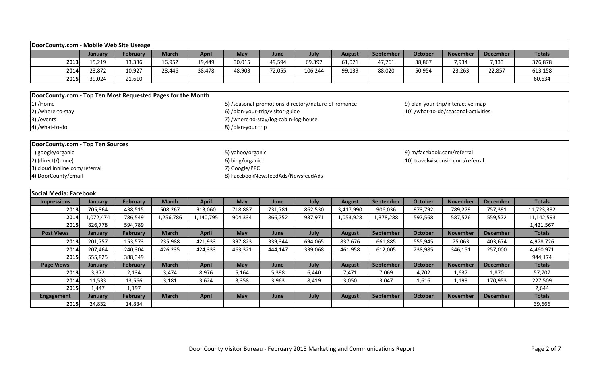| DoorCounty.com - Mobile Web Site Useage                                            |                |                 |              |              |                    |                                                     |         |               |                  |                            |                                     |                 |               |
|------------------------------------------------------------------------------------|----------------|-----------------|--------------|--------------|--------------------|-----------------------------------------------------|---------|---------------|------------------|----------------------------|-------------------------------------|-----------------|---------------|
|                                                                                    | January        | <b>February</b> | <b>March</b> | <b>April</b> | May                | June                                                | July    | <b>August</b> | September        | <b>October</b>             | <b>November</b>                     | <b>December</b> | <b>Totals</b> |
| 2013                                                                               | 15,219         | 13,336          | 16,952       | 19,449       | 30,015             | 49,594                                              | 69,397  | 61,021        | 47,761           | 38,867                     | 7,934                               | 7,333           | 376,878       |
| 2014                                                                               | 23,872         | 10,927          | 28,446       | 38,478       | 48,903             | 72,055                                              | 106,244 | 99,139        | 88,020           | 50,954                     | 23,263                              | 22,857          | 613,158       |
| 2015                                                                               | 39,024         | 21,610          |              |              |                    |                                                     |         |               |                  |                            |                                     |                 | 60,634        |
|                                                                                    |                |                 |              |              |                    |                                                     |         |               |                  |                            |                                     |                 |               |
| DoorCounty.com - Top Ten Most Requested Pages for the Month                        |                |                 |              |              |                    |                                                     |         |               |                  |                            |                                     |                 |               |
| 1) /Home                                                                           |                |                 |              |              |                    | 5) /seasonal-promotions-directory/nature-of-romance |         |               |                  |                            | 9) plan-your-trip/interactive-map   |                 |               |
| 2) /where-to-stay                                                                  |                |                 |              |              |                    | 6) /plan-your-trip/visitor-guide                    |         |               |                  |                            | 10) /what-to-do/seasonal-activities |                 |               |
| 3) / events                                                                        |                |                 |              |              |                    | 7) /where-to-stay/log-cabin-log-house               |         |               |                  |                            |                                     |                 |               |
| 4) /what-to-do                                                                     |                |                 |              |              | 8) /plan-your trip |                                                     |         |               |                  |                            |                                     |                 |               |
|                                                                                    |                |                 |              |              |                    |                                                     |         |               |                  |                            |                                     |                 |               |
| DoorCounty.com - Top Ten Sources                                                   |                |                 |              |              |                    |                                                     |         |               |                  |                            |                                     |                 |               |
| 1) google/organic                                                                  |                |                 |              |              | 5) yahoo/organic   |                                                     |         |               |                  | 9) m/facebook.com/referral |                                     |                 |               |
| 2) (direct)/(none)                                                                 |                |                 |              |              | 6) bing/organic    |                                                     |         |               |                  |                            |                                     |                 |               |
| 10) travelwisconsin.com/referral<br>3) cloud.innline.com/referral<br>7) Google/PPC |                |                 |              |              |                    |                                                     |         |               |                  |                            |                                     |                 |               |
| 4) DoorCounty/Email                                                                |                |                 |              |              |                    | 8) FacebookNewsfeedAds/NewsfeedAds                  |         |               |                  |                            |                                     |                 |               |
|                                                                                    |                |                 |              |              |                    |                                                     |         |               |                  |                            |                                     |                 |               |
| Social Media: Facebook                                                             |                |                 |              |              |                    |                                                     |         |               |                  |                            |                                     |                 |               |
| <b>Impressions</b>                                                                 | January        | February        | <b>March</b> | <b>April</b> | May                | June                                                | July    | <b>August</b> | September        | <b>October</b>             | <b>November</b>                     | <b>December</b> | <b>Totals</b> |
| 2013                                                                               | 705,864        | 438,515         | 508,267      | 913,060      | 718,887            | 731,781                                             | 862,530 | 3,417,990     | 906,036          | 973,792                    | 789,279                             | 757,391         | 11,723,392    |
| 2014                                                                               | 1,072,474      | 786,549         | 1,256,786    | 1,140,795    | 904,334            | 866,752                                             | 937,971 | 1,053,928     | 1,378,288        | 597,568                    | 587,576                             | 559,572         | 11,142,593    |
| 2015                                                                               | 826,778        | 594,789         |              |              |                    |                                                     |         |               |                  |                            |                                     |                 | 1,421,567     |
| <b>Post Views</b>                                                                  | <b>January</b> | <b>February</b> | <b>March</b> | <b>April</b> | May                | June                                                | July    | <b>August</b> | <b>September</b> | <b>October</b>             | <b>November</b>                     | <b>December</b> | <b>Totals</b> |
| 2013                                                                               | 201,757        | 153,573         | 235,988      | 421,933      | 397,823            | 339,344                                             | 694,065 | 837,676       | 661,885          | 555,945                    | 75,063                              | 403,674         | 4,978,726     |
| 2014                                                                               | 207,464        | 240,304         | 426,235      | 424,333      | 463,321            | 444,147                                             | 339,068 | 461,958       | 612,005          | 238,985                    | 346,151                             | 257,000         | 4,460,971     |
| 2015                                                                               | 555,825        | 388,349         |              |              |                    |                                                     |         |               |                  |                            |                                     |                 | 944,174       |
| <b>Page Views</b>                                                                  | January        | February        | <b>March</b> | <b>April</b> | May                | June                                                | July    | <b>August</b> | September        | <b>October</b>             | <b>November</b>                     | <b>December</b> | <b>Totals</b> |
| 2013                                                                               | 3,372          | 2,134           | 3,474        | 8,976        | 5,164              | 5,398                                               | 6,440   | 7,471         | 7,069            | 4,702                      | 1,637                               | 1,870           | 57,707        |
| 2014                                                                               | 11,533         | 13,566          | 3,181        | 3,624        | 3,358              | 3,963                                               | 8,419   | 3,050         | 3,047            | 1,616                      | 1,199                               | 170,953         | 227,509       |
| 2015                                                                               | 1,447          | 1,197           |              |              |                    |                                                     |         |               |                  |                            |                                     |                 | 2,644         |
| <b>Engagement</b>                                                                  | January        | February        | <b>March</b> | <b>April</b> | May                | June                                                | July    | <b>August</b> | September        | <b>October</b>             | <b>November</b>                     | <b>December</b> | <b>Totals</b> |
| 2015                                                                               | 24,832         | 14,834          |              |              |                    |                                                     |         |               |                  |                            |                                     |                 | 39,666        |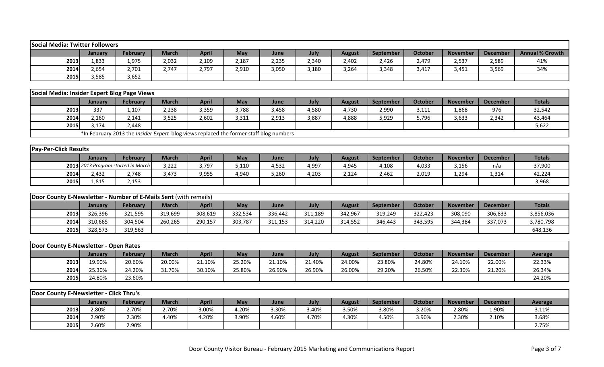| <b>Social Media: Twitter Followers</b>                           |         |                                                                                        |              |              |         |         |         |               |           |                |                 |                 |                        |
|------------------------------------------------------------------|---------|----------------------------------------------------------------------------------------|--------------|--------------|---------|---------|---------|---------------|-----------|----------------|-----------------|-----------------|------------------------|
|                                                                  | January | February                                                                               | <b>March</b> | <b>April</b> | May     | June    | July    | <b>August</b> | September | <b>October</b> | <b>November</b> | <b>December</b> | <b>Annual % Growth</b> |
| 2013                                                             | 1,833   | 1,975                                                                                  | 2,032        | 2,109        | 2,187   | 2,235   | 2,340   | 2,402         | 2,426     | 2,479          | 2,537           | 2,589           | 41%                    |
| 2014                                                             | 2,654   | 2,701                                                                                  | 2,747        | 2,797        | 2,910   | 3,050   | 3,180   | 3,264         | 3,348     | 3,417          | 3,451           | 3,569           | 34%                    |
| 2015                                                             | 3,585   | 3,652                                                                                  |              |              |         |         |         |               |           |                |                 |                 |                        |
|                                                                  |         |                                                                                        |              |              |         |         |         |               |           |                |                 |                 |                        |
| Social Media: Insider Expert Blog Page Views                     |         |                                                                                        |              |              |         |         |         |               |           |                |                 |                 |                        |
|                                                                  | January | <b>February</b>                                                                        | <b>March</b> | <b>April</b> | May     | June    | July    | <b>August</b> | September | <b>October</b> | <b>November</b> | <b>December</b> | <b>Totals</b>          |
| 2013                                                             | 337     | 1,107                                                                                  | 2,238        | 3,359        | 3,788   | 3,458   | 4,580   | 4,730         | 2,990     | 3,111          | 1,868           | 976             | 32,542                 |
| 2014                                                             | 2,160   | 2,141                                                                                  | 3,525        | 2,602        | 3,311   | 2,913   | 3,887   | 4,888         | 5,929     | 5,796          | 3,633           | 2,342           | 43,464                 |
| 2015                                                             | 3,174   | 2,448                                                                                  |              |              |         |         |         |               |           |                |                 |                 | 5,622                  |
|                                                                  |         | *In February 2013 the Insider Expert blog views replaced the former staff blog numbers |              |              |         |         |         |               |           |                |                 |                 |                        |
|                                                                  |         |                                                                                        |              |              |         |         |         |               |           |                |                 |                 |                        |
| <b>Pay-Per-Click Results</b>                                     |         |                                                                                        |              |              |         |         |         |               |           |                |                 |                 |                        |
|                                                                  | January | February                                                                               | <b>March</b> | <b>April</b> | May     | June    | July    | <b>August</b> | September | <b>October</b> | <b>November</b> | <b>December</b> | <b>Totals</b>          |
|                                                                  |         | 2013 2013 Program started in March                                                     | 3,222        | 3,797        | 5,110   | 4,532   | 4,997   | 4,945         | 4,108     | 4,033          | 3,156           | n/a             | 37,900                 |
| 2014                                                             | 2,432   | 2,748                                                                                  | 3,473        | 9,955        | 4,940   | 5,260   | 4,203   | 2,124         | 2,462     | 2,019          | 1,294           | 1,314           | 42,224                 |
| 2015                                                             | 1,815   | 2,153                                                                                  |              |              |         |         |         |               |           |                |                 |                 | 3,968                  |
|                                                                  |         |                                                                                        |              |              |         |         |         |               |           |                |                 |                 |                        |
| Door County E-Newsletter - Number of E-Mails Sent (with remails) |         |                                                                                        |              |              |         |         |         |               |           |                |                 |                 |                        |
|                                                                  | January | February                                                                               | <b>March</b> | <b>April</b> | May     | June    | July    | <b>August</b> | September | <b>October</b> | <b>November</b> | <b>December</b> | <b>Totals</b>          |
| 2013                                                             | 326,396 | 321,595                                                                                | 319,699      | 308,619      | 332,534 | 336,442 | 311,189 | 342,967       | 319,249   | 322,423        | 308,090         | 306,833         | 3,856,036              |
| 2014                                                             | 310,665 | 304,504                                                                                | 260,265      | 290,157      | 303,787 | 311,153 | 314,220 | 314,552       | 346,443   | 343,595        | 344,384         | 337,073         | 3,780,798              |
| 2015                                                             | 328,573 | 319,563                                                                                |              |              |         |         |         |               |           |                |                 |                 | 648,136                |
|                                                                  |         |                                                                                        |              |              |         |         |         |               |           |                |                 |                 |                        |
| Door County E-Newsletter - Open Rates                            |         |                                                                                        |              |              |         |         |         |               |           |                |                 |                 |                        |
|                                                                  | January | <b>February</b>                                                                        | <b>March</b> | <b>April</b> | May     | June    | July    | <b>August</b> | September | <b>October</b> | <b>November</b> | <b>December</b> | <b>Average</b>         |
| 2013                                                             | 19.90%  | 20.60%                                                                                 | 20.00%       | 21.10%       | 25.20%  | 21.10%  | 21.40%  | 24.00%        | 23.80%    | 24.80%         | 24.10%          | 22.00%          | 22.33%                 |
| 2014                                                             | 25.30%  | 24.20%                                                                                 | 31.70%       | 30.10%       | 25.80%  | 26.90%  | 26.90%  | 26.00%        | 29.20%    | 26.50%         | 22.30%          | 21.20%          | 26.34%                 |
| 2015                                                             | 24.80%  | 23.60%                                                                                 |              |              |         |         |         |               |           |                |                 |                 | 24.20%                 |
|                                                                  |         |                                                                                        |              |              |         |         |         |               |           |                |                 |                 |                        |
| Door County E-Newsletter - Click Thru's                          |         |                                                                                        |              |              |         |         |         |               |           |                |                 |                 |                        |
|                                                                  | January | February                                                                               | <b>March</b> | <b>April</b> | May     | June    | July    | <b>August</b> | September | <b>October</b> | <b>November</b> | <b>December</b> | <b>Average</b>         |
| 2013                                                             | 2.80%   | 2.70%                                                                                  | 2.70%        | 3.00%        | 4.20%   | 3.30%   | 3.40%   | 3.50%         | 3.80%     | 3.20%          | 2.80%           | 1.90%           | 3.11%                  |
| 2014                                                             | 2.90%   | 2.30%                                                                                  | 4.40%        | 4.20%        | 3.90%   | 4.60%   | 4.70%   | 4.30%         | 4.50%     | 3.90%          | 2.30%           | 2.10%           | 3.68%                  |
| 2015                                                             | 2.60%   | 2.90%                                                                                  |              |              |         |         |         |               |           |                |                 |                 | 2.75%                  |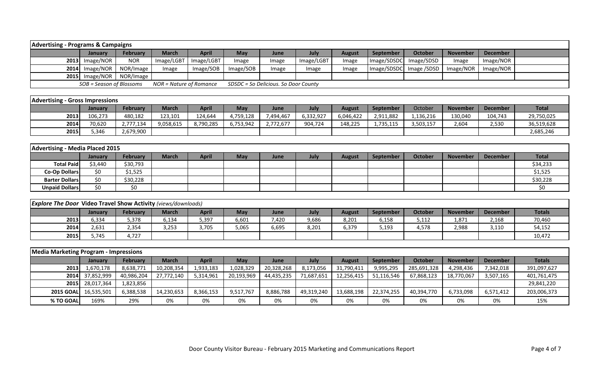| <b>Advertising - Programs &amp; Campaigns</b> |                          |                            |                         |              |           |                                      |            |               |                  |                         |                 |                 |  |
|-----------------------------------------------|--------------------------|----------------------------|-------------------------|--------------|-----------|--------------------------------------|------------|---------------|------------------|-------------------------|-----------------|-----------------|--|
|                                               | Januarv                  | <b>February</b>            | March                   | <b>April</b> | May       | June                                 | July       | <b>August</b> | <b>September</b> | October                 | <b>November</b> | <b>December</b> |  |
|                                               | 2013 Image/NOR           | <b>NOR</b>                 | Image/LGBT              | Image/LGBT   | Image     | Image                                | Image/LGBT | Image         | Image/SDSDC      | Image/SDSD              | Image           | Image/NOR       |  |
|                                               | $2014$ Image/NOR         | NOR/Image                  | Image                   | Image/SOB    | Image/SOB | Image                                | Image      | Image         |                  | Image/SDSDC Image /SDSD | Image/NOR       | Image/NOR       |  |
|                                               |                          | 2015 Image/NOR   NOR/Image |                         |              |           |                                      |            |               |                  |                         |                 |                 |  |
|                                               | SOB = Season of Blossoms |                            | NOR = Nature of Romance |              |           | SDSDC = So Delicious. So Door County |            |               |                  |                         |                 |                 |  |

| <b>Advertising - Gross Impressions</b> |         |                 |           |              |           |                       |           |           |                  |           |          |                 |              |
|----------------------------------------|---------|-----------------|-----------|--------------|-----------|-----------------------|-----------|-----------|------------------|-----------|----------|-----------------|--------------|
|                                        | Januarv | <b>February</b> | March     | <b>April</b> | May       | June                  | July      | August    | <b>September</b> | October   | November | <b>December</b> | <b>Total</b> |
| 2013                                   | 106,273 | 480,182         | 123,101   | 124,644      | 4,759,128 | 494,467,              | 6,332,927 | 6,046,422 | 2,911,882        | 136,216.  | 130,040  | 104,743         | 29,750,025   |
| 2014                                   | 70,620  | 2,777,134       | 9,058,615 | 8,790,285    | 6,753,942 | 2,772,67 <sup>-</sup> | 904,724   | 148,225   | 1,735,115        | 3,503,157 | 2,604    | 2,530           | 36,519,628   |
| 2015                                   | 5.346   | 2,679,900       |           |              |           |                       |           |           |                  |           |          |                 | 2,685,246    |

| <b>Advertising - Media Placed 2015</b> |         |                 |              |       |            |      |      |               |                  |         |                 |                 |              |
|----------------------------------------|---------|-----------------|--------------|-------|------------|------|------|---------------|------------------|---------|-----------------|-----------------|--------------|
|                                        | January | <b>February</b> | <b>March</b> | April | <b>May</b> | June | July | <b>August</b> | <b>September</b> | October | <b>November</b> | <b>December</b> | <b>Total</b> |
| <b>Total Paid</b>                      | \$3,440 | \$30,793        |              |       |            |      |      |               |                  |         |                 |                 | \$34,233     |
| <b>Co-Op Dollars</b>                   | \$0     | 51,525          |              |       |            |      |      |               |                  |         |                 |                 | \$1,525      |
| <b>Barter Dollars</b>                  | \$0     | \$30,228        |              |       |            |      |      |               |                  |         |                 |                 | \$30,228     |
| <b>Unpaid Dollars</b>                  | \$0     | \$0             |              |       |            |      |      |               |                  |         |                 |                 | S0           |

| <b>Explore The Door Video Travel Show Activity (views/downloads)</b> |                |          |       |       |            |       |       |        |           |         |                 |          |               |
|----------------------------------------------------------------------|----------------|----------|-------|-------|------------|-------|-------|--------|-----------|---------|-----------------|----------|---------------|
|                                                                      | <b>January</b> | February | March | April | <b>May</b> | June  | July  | August | September | October | <b>November</b> | December | <b>Totals</b> |
| 2013                                                                 | 6,334          | 5,378    | 3,134 | 5,397 | 6,601      | 7,420 | 9,686 | 8,201  | 6,158     | 5,112   | 1,871           | 2,168    | 70,460        |
| 2014                                                                 | 2,631          | 2,354    | 3,253 | 3,705 | 5,065      | 6,695 | 8,201 | 6,379  | 5,193     | 4,578   | 2,988           | 3,110    | 54,152        |
| 2015                                                                 | 5.745          | 4,727    |       |       |            |       |       |        |           |         |                 |          | 10,472        |

| <b>Media Marketing Program - Impressions</b> |                 |            |            |              |            |            |            |               |            |             |                 |                 |               |
|----------------------------------------------|-----------------|------------|------------|--------------|------------|------------|------------|---------------|------------|-------------|-----------------|-----------------|---------------|
|                                              | <b>January</b>  | February   | March      | <b>April</b> | May        | June       | July       | <b>August</b> | September  | October     | <b>November</b> | <b>December</b> | <b>Totals</b> |
| 2013                                         | 1,670,178       | 8,638,771  | 10,208,354 | 1,933,183    | 1,028,329  | 20,328,268 | 8,173,056  | 31,790,411    | 9,995,295  | 285,691,328 | 4,298,436       | 7,342,018       | 391,097,627   |
|                                              | 2014 37,852,999 | 40,986,204 | 27,772,140 | 5,314,961    | 20,193,969 | 44,435,235 | 71,687,651 | 12,256,415    | 51,116,546 | 67,868,123  | 18,770,067      | 3,507,165       | 401,761,475   |
|                                              | 2015 28,017,364 | 1,823,856  |            |              |            |            |            |               |            |             |                 |                 | 29,841,220    |
| <b>2015 GOAL</b>                             | 16,535,501      | 6,388,538  | 14,230,653 | 8,366,153    | 9,517,767  | 8,886,788  | 49,319,240 | 13,688,198    | 22,374,255 | 40,394,770  | 6,733,098       | 6,571,412       | 203,006,373   |
| % TO GOAL                                    | 169%            | 29%        | 0%         | 0%           | 0%         | 0%         | 0%         | 0%            | 0%         | 0%          | 0%              | 0%              | 15%           |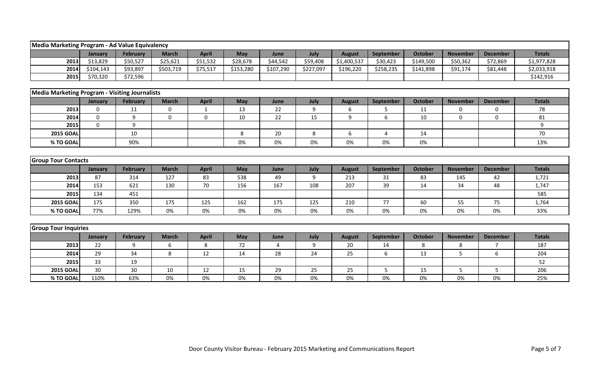| Media Marketing Program - Ad Value Equivalency        |                  |                 |              |              |           |           |                  |               |           |                |                 |                 |               |
|-------------------------------------------------------|------------------|-----------------|--------------|--------------|-----------|-----------|------------------|---------------|-----------|----------------|-----------------|-----------------|---------------|
|                                                       | January          | <b>February</b> | <b>March</b> | <b>April</b> | May       | June      | July             | <b>August</b> | September | <b>October</b> | <b>November</b> | <b>December</b> | <b>Totals</b> |
| 2013                                                  | \$13,829         | \$50,527        | \$25,621     | \$51,532     | \$28,678  | \$44,542  | \$59,408         | \$1,400,537   | \$30,423  | \$149,500      | \$50,362        | \$72,869        | \$1,977,828   |
| 2014                                                  | \$104,143        | \$93,897        | \$503,719    | \$75,517     | \$153,280 | \$107,290 | \$227,097        | \$196,220     | \$258,235 | \$141,898      | \$91,174        | \$81,448        | \$2,033,918   |
| 2015                                                  | \$70,320         | \$72,596        |              |              |           |           |                  |               |           |                |                 |                 | \$142,916     |
|                                                       |                  |                 |              |              |           |           |                  |               |           |                |                 |                 |               |
| <b>Media Marketing Program - Visiting Journalists</b> |                  |                 |              |              |           |           |                  |               |           |                |                 |                 |               |
|                                                       | January          | February        | <b>March</b> | <b>April</b> | May       | June      | July             | <b>August</b> | September | <b>October</b> | <b>November</b> | <b>December</b> | <b>Totals</b> |
| 2013                                                  | $\boldsymbol{0}$ | 11              | $\mathbf 0$  | $\mathbf{1}$ | 13        | 22        | $\boldsymbol{9}$ | 6             | 5         | 11             | 0               | 0               | 78            |
| 2014                                                  | $\mathbf{0}$     | 9               | $\mathbf{0}$ | $\mathbf 0$  | 10        | 22        | 15               | 9             | 6         | 10             | $\Omega$        | $\Omega$        | 81            |
| 2015                                                  | $\Omega$         | 9               |              |              |           |           |                  |               |           |                |                 |                 | 9             |
| <b>2015 GOAL</b>                                      |                  | 10              |              |              | 8         | 20        | 8                | 6             | 4         | 14             |                 |                 | 70            |
| % TO GOAL                                             |                  | 90%             |              |              | 0%        | $0\%$     | 0%               | 0%            | 0%        | 0%             |                 |                 | 13%           |
|                                                       |                  |                 |              |              |           |           |                  |               |           |                |                 |                 |               |
| <b>Group Tour Contacts</b>                            |                  |                 |              |              |           |           |                  |               |           |                |                 |                 |               |
|                                                       | January          | February        | <b>March</b> | <b>April</b> | May       | June      | July             | <b>August</b> | September | <b>October</b> | <b>November</b> | <b>December</b> | <b>Totals</b> |
| 2013                                                  | 87               | 314             | 127          | 83           | 538       | 49        | 9                | 213           | 31        | 83             | 145             | 42              | 1,721         |
| 2014                                                  | 153              | 621             | 130          | 70           | 156       | 167       | 108              | 207           | 39        | 14             | 34              | 48              | 1,747         |
| 2015                                                  | 134              | 451             |              |              |           |           |                  |               |           |                |                 |                 | 585           |
| <b>2015 GOAL</b>                                      | 175              | 350             | 175          | 125          | 162       | 175       | 125              | 210           | 77        | 60             | 55              | 75              | 1,764         |
| % TO GOAL                                             | 77%              | 129%            | 0%           | 0%           | 0%        | 0%        | 0%               | 0%            | 0%        | 0%             | 0%              | 0%              | 33%           |
|                                                       |                  |                 |              |              |           |           |                  |               |           |                |                 |                 |               |
| <b>Group Tour Inquiries</b>                           |                  |                 |              |              |           |           |                  |               |           |                |                 |                 |               |
|                                                       | January          | February        | <b>March</b> | <b>April</b> | May       | June      | July             | <b>August</b> | September | <b>October</b> | <b>November</b> | <b>December</b> | <b>Totals</b> |
| 2013                                                  | 22               | 9               | 6            | 8            | 72        | 4         | 9                | 20            | 14        | 8              | 8               | $\overline{7}$  | 187           |
| 2014                                                  | 29               | 34              | 8            | 12           | 14        | 28        | 24               | 25            | 6         | 13             | 5               | 6               | 204           |
| 2015                                                  | 33               | 19              |              |              |           |           |                  |               |           |                |                 |                 | 52            |
| <b>2015 GOAL</b>                                      | 30               | 30              | 10           | 12           | 15        | 29        | 25               | 25            | 5         | 15             | 5               | 5               | 206           |
| % TO GOAL                                             | 110%             | 63%             | 0%           | $0\%$        | 0%        | 0%        | 0%               | 0%            | 0%        | $0\%$          | 0%              | 0%              | 25%           |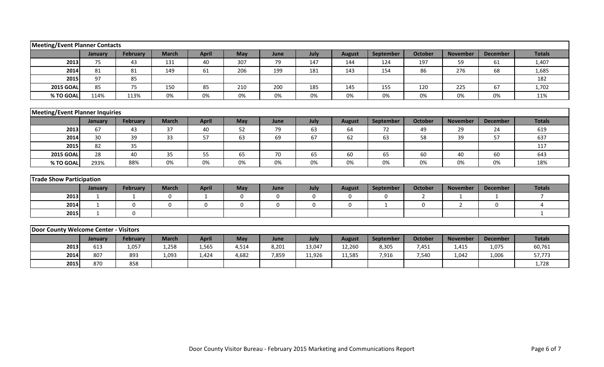| <b>Meeting/Event Planner Contacts</b>  |                 |                 |              |              |             |       |             |               |             |                |                 |                 |                |
|----------------------------------------|-----------------|-----------------|--------------|--------------|-------------|-------|-------------|---------------|-------------|----------------|-----------------|-----------------|----------------|
|                                        | January         | February        | <b>March</b> | <b>April</b> | May         | June  | July        | <b>August</b> | September   | <b>October</b> | <b>November</b> | <b>December</b> | <b>Totals</b>  |
| 2013                                   | 75              | 43              | 131          | 40           | 307         | 79    | 147         | 144           | 124         | 197            | 59              | 61              | 1,407          |
| 2014                                   | 81              | 81              | 149          | 61           | 206         | 199   | 181         | 143           | 154         | 86             | 276             | 68              | 1,685          |
| 2015                                   | 97              | 85              |              |              |             |       |             |               |             |                |                 |                 | 182            |
| <b>2015 GOAL</b>                       | 85              | 75              | 150          | 85           | 210         | 200   | 185         | 145           | 155         | 120            | 225             | 67              | 1,702          |
| % TO GOAL                              | 114%            | 113%            | 0%           | 0%           | 0%          | 0%    | 0%          | 0%            | 0%          | 0%             | 0%              | 0%              | 11%            |
|                                        |                 |                 |              |              |             |       |             |               |             |                |                 |                 |                |
| <b>Meeting/Event Planner Inquiries</b> |                 |                 |              |              |             |       |             |               |             |                |                 |                 |                |
|                                        | January         | <b>February</b> | <b>March</b> | <b>April</b> | May         | June  | July        | <b>August</b> | September   | <b>October</b> | <b>November</b> | <b>December</b> | <b>Totals</b>  |
| 2013                                   | 67              | 43              | 37           | 40           | 52          | 79    | 63          | 64            | 72          | 49             | 29              | 24              | 619            |
| 2014                                   | 30 <sup>°</sup> | 39              | 33           | 57           | 63          | 69    | 67          | 62            | 63          | 58             | 39              | 57              | 637            |
| 2015                                   | 82              | 35              |              |              |             |       |             |               |             |                |                 |                 | 117            |
| <b>2015 GOAL</b>                       | 28              | 40              | 35           | 55           | 65          | 70    | 65          | 60            | 65          | 60             | 40              | 60              | 643            |
| % TO GOAL                              | 293%            | 88%             | 0%           | 0%           | 0%          | 0%    | 0%          | 0%            | 0%          | 0%             | 0%              | 0%              | 18%            |
|                                        |                 |                 |              |              |             |       |             |               |             |                |                 |                 |                |
| <b>Trade Show Participation</b>        |                 |                 |              |              |             |       |             |               |             |                |                 |                 |                |
|                                        | January         | <b>February</b> | <b>March</b> | <b>April</b> | May         | June  | July        | <b>August</b> | September   | <b>October</b> | <b>November</b> | <b>December</b> | <b>Totals</b>  |
| 2013                                   | 1               | 1               | $\mathbf 0$  | 1            | $\mathbf 0$ | 0     | $\mathbf 0$ | $\mathbf 0$   | $\mathbf 0$ | $\overline{2}$ | $\mathbf{1}$    | 1               | $\overline{7}$ |
| 2014                                   | $\mathbf{1}$    | $\mathbf 0$     | $\mathbf 0$  | 0            | 0           | 0     | 0           | 0             | 1           | 0              | $\overline{2}$  | $\mathbf 0$     | 4              |
| 2015                                   | $\mathbf{1}$    | $\mathbf{0}$    |              |              |             |       |             |               |             |                |                 |                 | $\mathbf 1$    |
|                                        |                 |                 |              |              |             |       |             |               |             |                |                 |                 |                |
| Door County Welcome Center - Visitors  |                 |                 |              |              |             |       |             |               |             |                |                 |                 |                |
|                                        | January         | February        | <b>March</b> | <b>April</b> | May         | June  | July        | <b>August</b> | September   | <b>October</b> | <b>November</b> | <b>December</b> | <b>Totals</b>  |
| 2013                                   | 613             | 1,057           | 1,258        | 1,565        | 4,514       | 8,201 | 13,047      | 12,260        | 8,305       | 7,451          | 1,415           | 1,075           | 60,761         |
| 2014                                   | 807             | 893             | 1,093        | 1,424        | 4,682       | 7,859 | 11,926      | 11,585        | 7,916       | 7,540          | 1,042           | 1,006           | 57,773         |
| 2015                                   | 870             | 858             |              |              |             |       |             |               |             |                |                 |                 | 1,728          |